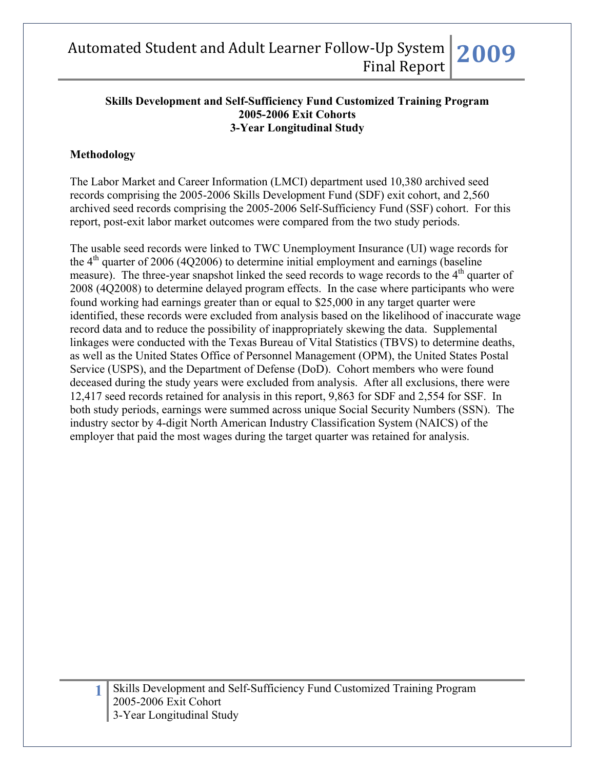#### **Skills Development and Self-Sufficiency Fund Customized Training Program 2005-2006 Exit Cohorts 3-Year Longitudinal Study**

## **Methodology**

The Labor Market and Career Information (LMCI) department used 10,380 archived seed records comprising the 2005-2006 Skills Development Fund (SDF) exit cohort, and 2,560 archived seed records comprising the 2005-2006 Self-Sufficiency Fund (SSF) cohort. For this report, post-exit labor market outcomes were compared from the two study periods.

The usable seed records were linked to TWC Unemployment Insurance (UI) wage records for the  $4<sup>th</sup>$  quarter of 2006 (4Q2006) to determine initial employment and earnings (baseline measure). The three-year snapshot linked the seed records to wage records to the  $4<sup>th</sup>$  quarter of 2008 (4Q2008) to determine delayed program effects. In the case where participants who were found working had earnings greater than or equal to \$25,000 in any target quarter were identified, these records were excluded from analysis based on the likelihood of inaccurate wage record data and to reduce the possibility of inappropriately skewing the data. Supplemental linkages were conducted with the Texas Bureau of Vital Statistics (TBVS) to determine deaths, as well as the United States Office of Personnel Management (OPM), the United States Postal Service (USPS), and the Department of Defense (DoD). Cohort members who were found deceased during the study years were excluded from analysis. After all exclusions, there were 12,417 seed records retained for analysis in this report, 9,863 for SDF and 2,554 for SSF. In both study periods, earnings were summed across unique Social Security Numbers (SSN). The industry sector by 4-digit North American Industry Classification System (NAICS) of the employer that paid the most wages during the target quarter was retained for analysis.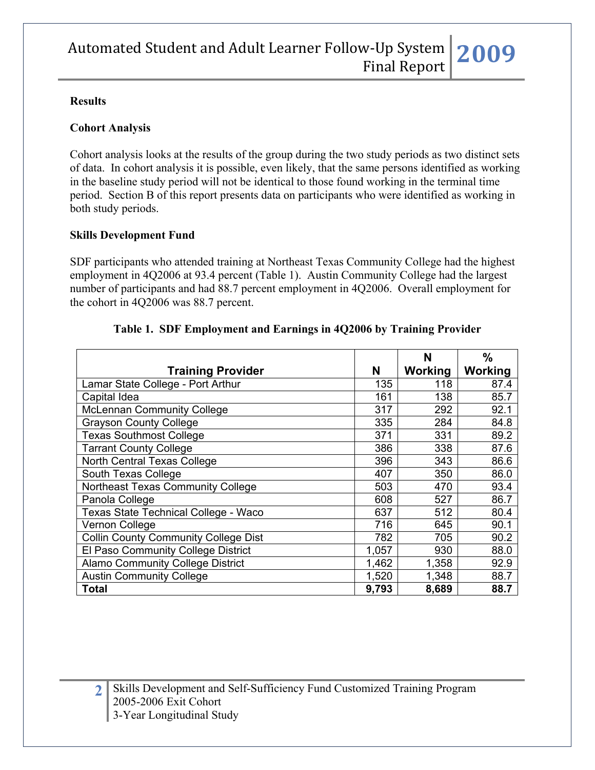#### **Results**

#### **Cohort Analysis**

Cohort analysis looks at the results of the group during the two study periods as two distinct sets of data. In cohort analysis it is possible, even likely, that the same persons identified as working in the baseline study period will not be identical to those found working in the terminal time period. Section B of this report presents data on participants who were identified as working in both study periods.

### **Skills Development Fund**

SDF participants who attended training at Northeast Texas Community College had the highest employment in 4Q2006 at 93.4 percent (Table 1). Austin Community College had the largest number of participants and had 88.7 percent employment in 4Q2006. Overall employment for the cohort in 4Q2006 was 88.7 percent.

|                                             |       | N       | $\%$    |
|---------------------------------------------|-------|---------|---------|
| <b>Training Provider</b>                    | N     | Working | Working |
| Lamar State College - Port Arthur           | 135   | 118     | 87.4    |
| Capital Idea                                | 161   | 138     | 85.7    |
| <b>McLennan Community College</b>           | 317   | 292     | 92.1    |
| <b>Grayson County College</b>               | 335   | 284     | 84.8    |
| <b>Texas Southmost College</b>              | 371   | 331     | 89.2    |
| <b>Tarrant County College</b>               | 386   | 338     | 87.6    |
| North Central Texas College                 | 396   | 343     | 86.6    |
| South Texas College                         | 407   | 350     | 86.0    |
| Northeast Texas Community College           | 503   | 470     | 93.4    |
| Panola College                              | 608   | 527     | 86.7    |
| Texas State Technical College - Waco        | 637   | 512     | 80.4    |
| Vernon College                              | 716   | 645     | 90.1    |
| <b>Collin County Community College Dist</b> | 782   | 705     | 90.2    |
| El Paso Community College District          | 1,057 | 930     | 88.0    |
| <b>Alamo Community College District</b>     | 1,462 | 1,358   | 92.9    |
| <b>Austin Community College</b>             | 1,520 | 1,348   | 88.7    |
| <b>Total</b>                                | 9,793 | 8,689   | 88.7    |

#### **Table 1. SDF Employment and Earnings in 4Q2006 by Training Provider**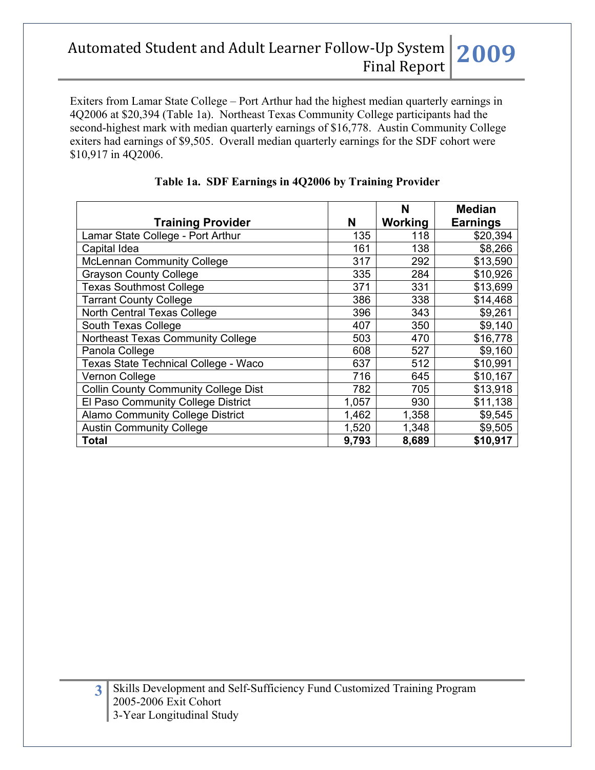Exiters from Lamar State College – Port Arthur had the highest median quarterly earnings in 4Q2006 at \$20,394 (Table 1a). Northeast Texas Community College participants had the second-highest mark with median quarterly earnings of \$16,778. Austin Community College exiters had earnings of \$9,505. Overall median quarterly earnings for the SDF cohort were \$10,917 in 4Q2006.

|                                             |       | N       | <b>Median</b>   |
|---------------------------------------------|-------|---------|-----------------|
| <b>Training Provider</b>                    | N     | Working | <b>Earnings</b> |
| Lamar State College - Port Arthur           | 135   | 118     | \$20,394        |
| Capital Idea                                | 161   | 138     | \$8,266         |
| <b>McLennan Community College</b>           | 317   | 292     | \$13,590        |
| <b>Grayson County College</b>               | 335   | 284     | \$10,926        |
| <b>Texas Southmost College</b>              | 371   | 331     | \$13,699        |
| <b>Tarrant County College</b>               | 386   | 338     | \$14,468        |
| <b>North Central Texas College</b>          | 396   | 343     | \$9,261         |
| South Texas College                         | 407   | 350     | \$9,140         |
| Northeast Texas Community College           | 503   | 470     | \$16,778        |
| Panola College                              | 608   | 527     | \$9,160         |
| Texas State Technical College - Waco        | 637   | 512     | \$10,991        |
| Vernon College                              | 716   | 645     | \$10,167        |
| <b>Collin County Community College Dist</b> | 782   | 705     | \$13,918        |
| El Paso Community College District          | 1,057 | 930     | \$11,138        |
| <b>Alamo Community College District</b>     | 1,462 | 1,358   | \$9,545         |
| <b>Austin Community College</b>             | 1,520 | 1,348   | \$9,505         |
| <b>Total</b>                                | 9,793 | 8,689   | \$10,917        |

# **Table 1a. SDF Earnings in 4Q2006 by Training Provider**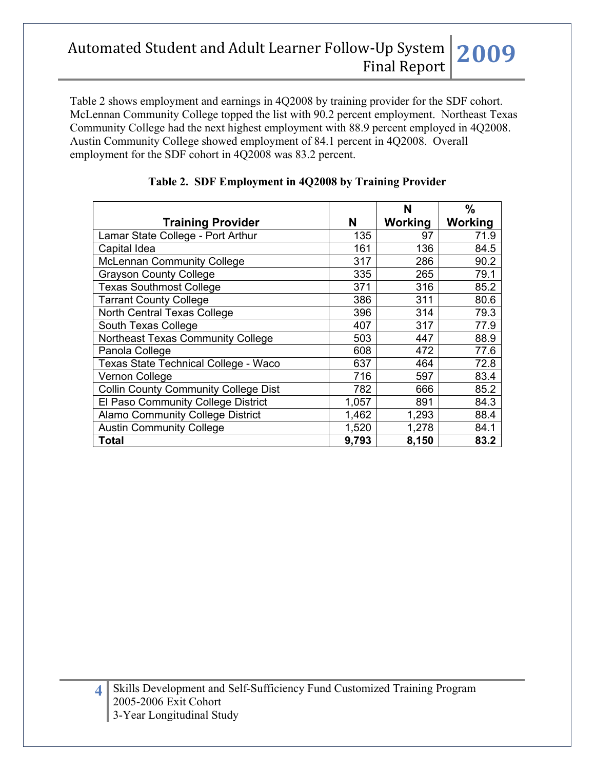Table 2 shows employment and earnings in 4Q2008 by training provider for the SDF cohort. McLennan Community College topped the list with 90.2 percent employment. Northeast Texas Community College had the next highest employment with 88.9 percent employed in 4Q2008. Austin Community College showed employment of 84.1 percent in 4Q2008. Overall employment for the SDF cohort in 4Q2008 was 83.2 percent.

|                                             |       | N       | $\%$    |
|---------------------------------------------|-------|---------|---------|
| <b>Training Provider</b>                    | N     | Working | Working |
| Lamar State College - Port Arthur           | 135   | 97      | 71.9    |
| Capital Idea                                | 161   | 136     | 84.5    |
| <b>McLennan Community College</b>           | 317   | 286     | 90.2    |
| <b>Grayson County College</b>               | 335   | 265     | 79.1    |
| <b>Texas Southmost College</b>              | 371   | 316     | 85.2    |
| <b>Tarrant County College</b>               | 386   | 311     | 80.6    |
| North Central Texas College                 | 396   | 314     | 79.3    |
| South Texas College                         | 407   | 317     | 77.9    |
| Northeast Texas Community College           | 503   | 447     | 88.9    |
| Panola College                              | 608   | 472     | 77.6    |
| Texas State Technical College - Waco        | 637   | 464     | 72.8    |
| <b>Vernon College</b>                       | 716   | 597     | 83.4    |
| <b>Collin County Community College Dist</b> | 782   | 666     | 85.2    |
| El Paso Community College District          | 1,057 | 891     | 84.3    |
| <b>Alamo Community College District</b>     | 1,462 | 1,293   | 88.4    |
| <b>Austin Community College</b>             | 1,520 | 1,278   | 84.1    |
| Total                                       | 9,793 | 8,150   | 83.2    |

## **Table 2. SDF Employment in 4Q2008 by Training Provider**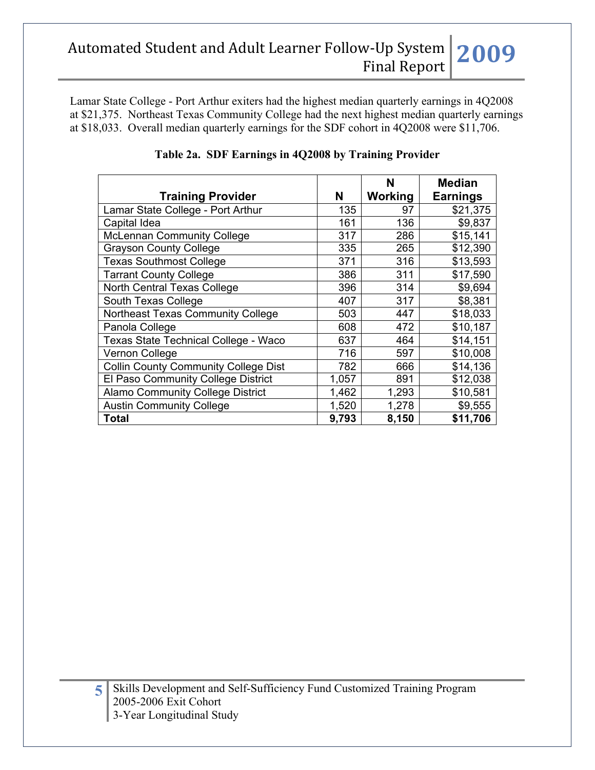Lamar State College - Port Arthur exiters had the highest median quarterly earnings in 4Q2008 at \$21,375. Northeast Texas Community College had the next highest median quarterly earnings at \$18,033. Overall median quarterly earnings for the SDF cohort in 4Q2008 were \$11,706.

|                                             |       | N       | <b>Median</b>   |
|---------------------------------------------|-------|---------|-----------------|
| <b>Training Provider</b>                    | N     | Working | <b>Earnings</b> |
| Lamar State College - Port Arthur           | 135   | 97      | \$21,375        |
| Capital Idea                                | 161   | 136     | \$9,837         |
| <b>McLennan Community College</b>           | 317   | 286     | \$15,141        |
| <b>Grayson County College</b>               | 335   | 265     | \$12,390        |
| <b>Texas Southmost College</b>              | 371   | 316     | \$13,593        |
| <b>Tarrant County College</b>               | 386   | 311     | \$17,590        |
| North Central Texas College                 | 396   | 314     | \$9,694         |
| South Texas College                         | 407   | 317     | \$8,381         |
| Northeast Texas Community College           | 503   | 447     | \$18,033        |
| Panola College                              | 608   | 472     | \$10,187        |
| Texas State Technical College - Waco        | 637   | 464     | \$14,151        |
| Vernon College                              | 716   | 597     | \$10,008        |
| <b>Collin County Community College Dist</b> | 782   | 666     | \$14,136        |
| El Paso Community College District          | 1,057 | 891     | \$12,038        |
| <b>Alamo Community College District</b>     | 1,462 | 1,293   | \$10,581        |
| <b>Austin Community College</b>             | 1,520 | 1,278   | \$9,555         |
| <b>Total</b>                                | 9,793 | 8,150   | \$11,706        |

## **Table 2a. SDF Earnings in 4Q2008 by Training Provider**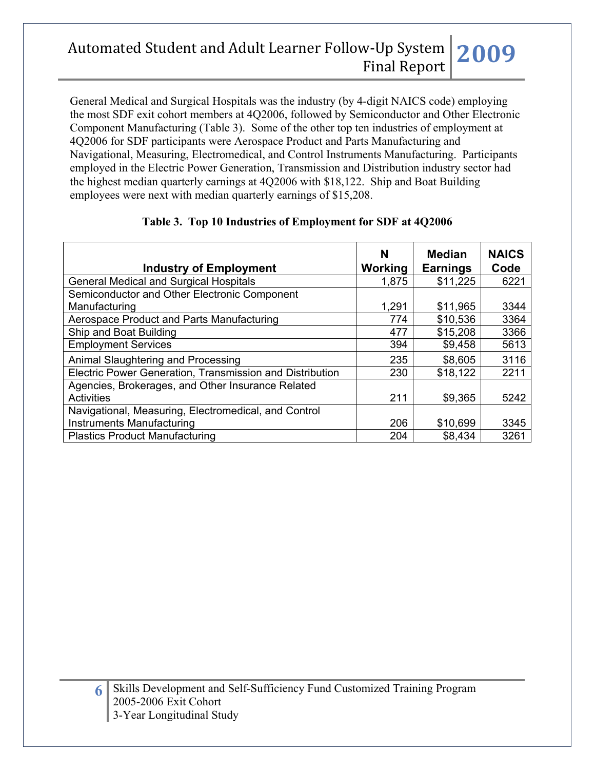General Medical and Surgical Hospitals was the industry (by 4-digit NAICS code) employing the most SDF exit cohort members at 4Q2006, followed by Semiconductor and Other Electronic Component Manufacturing (Table 3). Some of the other top ten industries of employment at 4Q2006 for SDF participants were Aerospace Product and Parts Manufacturing and Navigational, Measuring, Electromedical, and Control Instruments Manufacturing. Participants employed in the Electric Power Generation, Transmission and Distribution industry sector had the highest median quarterly earnings at 4Q2006 with \$18,122. Ship and Boat Building employees were next with median quarterly earnings of \$15,208.

| <b>Industry of Employment</b>                            | N<br>Working | <b>Median</b><br><b>Earnings</b> | <b>NAICS</b><br>Code |
|----------------------------------------------------------|--------------|----------------------------------|----------------------|
| <b>General Medical and Surgical Hospitals</b>            | 1,875        | \$11,225                         | 6221                 |
| Semiconductor and Other Electronic Component             |              |                                  |                      |
| Manufacturing                                            | 1,291        | \$11,965                         | 3344                 |
| Aerospace Product and Parts Manufacturing                | 774          | \$10,536                         | 3364                 |
| Ship and Boat Building                                   | 477          | \$15,208                         | 3366                 |
| <b>Employment Services</b>                               | 394          | \$9,458                          | 5613                 |
| Animal Slaughtering and Processing                       | 235          | \$8,605                          | 3116                 |
| Electric Power Generation, Transmission and Distribution | 230          | \$18,122                         | 2211                 |
| Agencies, Brokerages, and Other Insurance Related        |              |                                  |                      |
| Activities                                               | 211          | \$9,365                          | 5242                 |
| Navigational, Measuring, Electromedical, and Control     |              |                                  |                      |
| <b>Instruments Manufacturing</b>                         | 206          | \$10,699                         | 3345                 |
| <b>Plastics Product Manufacturing</b>                    | 204          | \$8,434                          | 3261                 |

# **Table 3. Top 10 Industries of Employment for SDF at 4Q2006**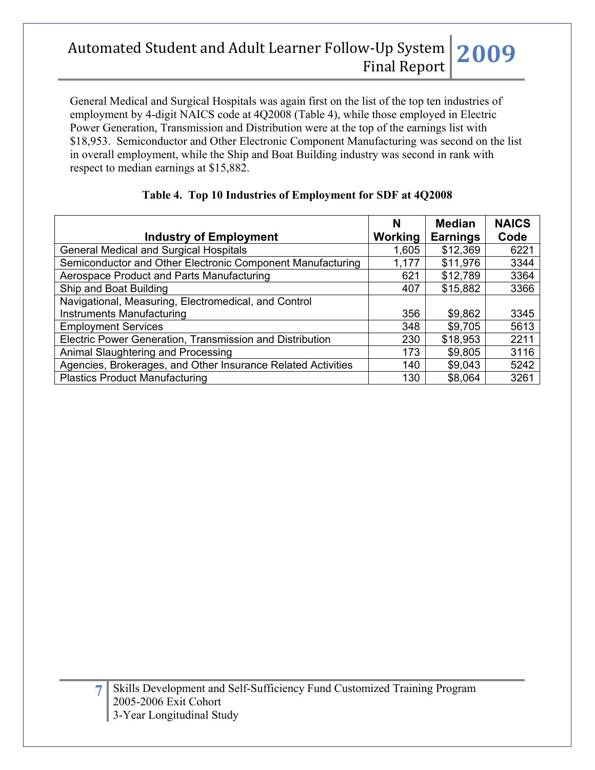General Medical and Surgical Hospitals was again first on the list of the top ten industries of employment by 4-digit NAICS code at 4Q2008 (Table 4), while those employed in Electric Power Generation, Transmission and Distribution were at the top of the earnings list with \$18,953. Semiconductor and Other Electronic Component Manufacturing was second on the list in overall employment, while the Ship and Boat Building industry was second in rank with respect to median earnings at \$15,882.

|                                                              | N       | <b>Median</b>   | <b>NAICS</b> |
|--------------------------------------------------------------|---------|-----------------|--------------|
| <b>Industry of Employment</b>                                | Working | <b>Earnings</b> | Code         |
| <b>General Medical and Surgical Hospitals</b>                | 1,605   | \$12,369        | 6221         |
| Semiconductor and Other Electronic Component Manufacturing   | 1,177   | \$11,976        | 3344         |
| Aerospace Product and Parts Manufacturing                    | 621     | \$12,789        | 3364         |
| Ship and Boat Building                                       | 407     | \$15,882        | 3366         |
| Navigational, Measuring, Electromedical, and Control         |         |                 |              |
| Instruments Manufacturing                                    | 356     | \$9,862         | 3345         |
| <b>Employment Services</b>                                   | 348     | \$9,705         | 5613         |
| Electric Power Generation, Transmission and Distribution     | 230     | \$18,953        | 2211         |
| Animal Slaughtering and Processing                           | 173     | \$9,805         | 3116         |
| Agencies, Brokerages, and Other Insurance Related Activities | 140     | \$9,043         | 5242         |
| <b>Plastics Product Manufacturing</b>                        | 130     | \$8,064         | 3261         |

## **Table 4. Top 10 Industries of Employment for SDF at 4Q2008**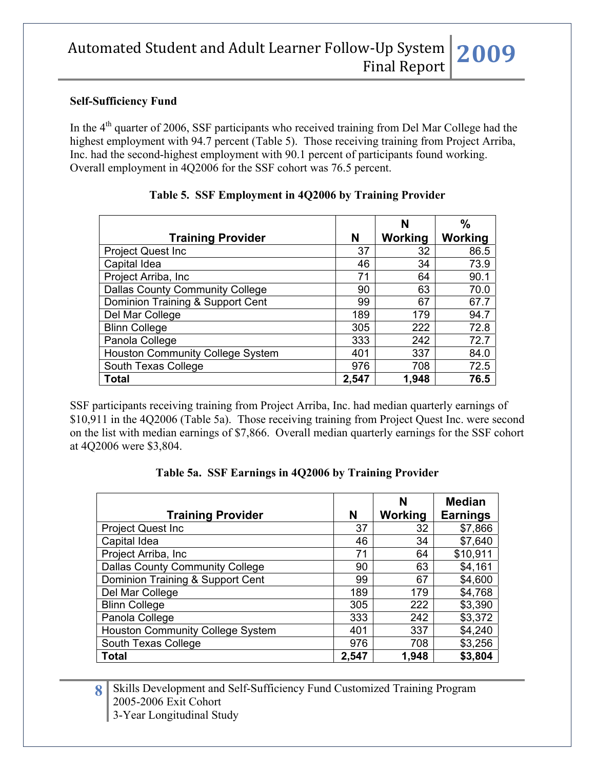#### **Self-Sufficiency Fund**

In the 4<sup>th</sup> quarter of 2006, SSF participants who received training from Del Mar College had the highest employment with 94.7 percent (Table 5). Those receiving training from Project Arriba, Inc. had the second-highest employment with 90.1 percent of participants found working. Overall employment in 4Q2006 for the SSF cohort was 76.5 percent.

|                                        |       | N              | $\%$    |
|----------------------------------------|-------|----------------|---------|
| <b>Training Provider</b>               | N     | <b>Working</b> | Working |
| <b>Project Quest Inc</b>               | 37    | 32             | 86.5    |
| Capital Idea                           | 46    | 34             | 73.9    |
| Project Arriba, Inc.                   | 71    | 64             | 90.1    |
| <b>Dallas County Community College</b> | 90    | 63             | 70.0    |
| Dominion Training & Support Cent       | 99    | 67             | 67.7    |
| Del Mar College                        | 189   | 179            | 94.7    |
| <b>Blinn College</b>                   | 305   | 222            | 72.8    |
| Panola College                         | 333   | 242            | 72.7    |
| Houston Community College System       | 401   | 337            | 84.0    |
| South Texas College                    | 976   | 708            | 72.5    |
| Total                                  | 2,547 | 1,948          | 76.5    |

#### **Table 5. SSF Employment in 4Q2006 by Training Provider**

SSF participants receiving training from Project Arriba, Inc. had median quarterly earnings of \$10,911 in the 4Q2006 (Table 5a). Those receiving training from Project Quest Inc. were second on the list with median earnings of \$7,866. Overall median quarterly earnings for the SSF cohort at 4Q2006 were \$3,804.

|  |  | Table 5a. SSF Earnings in 4Q2006 by Training Provider |  |  |  |  |  |  |
|--|--|-------------------------------------------------------|--|--|--|--|--|--|
|--|--|-------------------------------------------------------|--|--|--|--|--|--|

|                                         |       | N       | <b>Median</b>   |
|-----------------------------------------|-------|---------|-----------------|
| <b>Training Provider</b>                | N     | Working | <b>Earnings</b> |
| <b>Project Quest Inc.</b>               | 37    | 32      | \$7,866         |
| Capital Idea                            | 46    | 34      | \$7,640         |
| Project Arriba, Inc.                    | 71    | 64      | \$10,911        |
| <b>Dallas County Community College</b>  | 90    | 63      | \$4,161         |
| Dominion Training & Support Cent        | 99    | 67      | \$4,600         |
| Del Mar College                         | 189   | 179     | \$4,768         |
| <b>Blinn College</b>                    | 305   | 222     | \$3,390         |
| Panola College                          | 333   | 242     | \$3,372         |
| <b>Houston Community College System</b> | 401   | 337     | \$4,240         |
| South Texas College                     | 976   | 708     | \$3,256         |
| <b>Total</b>                            | 2,547 | 1,948   | \$3,804         |

8 Skills Development and Self-Sufficiency Fund Customized Training Program 2005-2006 Exit Cohort 3-Year Longitudinal Study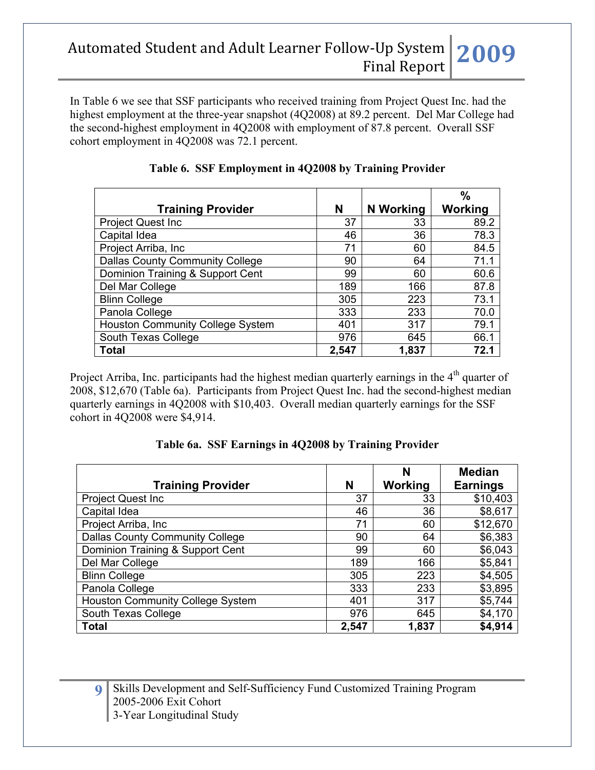In Table 6 we see that SSF participants who received training from Project Quest Inc. had the highest employment at the three-year snapshot (4Q2008) at 89.2 percent. Del Mar College had the second-highest employment in 4Q2008 with employment of 87.8 percent. Overall SSF cohort employment in 4Q2008 was 72.1 percent.

|                                         |       |           | $\%$    |
|-----------------------------------------|-------|-----------|---------|
| <b>Training Provider</b>                | N     | N Working | Working |
| <b>Project Quest Inc</b>                | 37    | 33        | 89.2    |
| Capital Idea                            | 46    | 36        | 78.3    |
| Project Arriba, Inc.                    | 71    | 60        | 84.5    |
| <b>Dallas County Community College</b>  | 90    | 64        | 71.1    |
| Dominion Training & Support Cent        | 99    | 60        | 60.6    |
| Del Mar College                         | 189   | 166       | 87.8    |
| <b>Blinn College</b>                    | 305   | 223       | 73.1    |
| Panola College                          | 333   | 233       | 70.0    |
| <b>Houston Community College System</b> | 401   | 317       | 79.1    |
| South Texas College                     | 976   | 645       | 66.1    |
| <b>Total</b>                            | 2,547 | 1,837     | 72.1    |

### **Table 6. SSF Employment in 4Q2008 by Training Provider**

Project Arriba, Inc. participants had the highest median quarterly earnings in the  $4<sup>th</sup>$  quarter of 2008, \$12,670 (Table 6a). Participants from Project Quest Inc. had the second-highest median quarterly earnings in 4Q2008 with \$10,403. Overall median quarterly earnings for the SSF cohort in 4Q2008 were \$4,914.

|                                         |       | N       | <b>Median</b>   |
|-----------------------------------------|-------|---------|-----------------|
| <b>Training Provider</b>                | N     | Working | <b>Earnings</b> |
| <b>Project Quest Inc.</b>               | 37    | 33      | \$10,403        |
| Capital Idea                            | 46    | 36      | \$8,617         |
| Project Arriba, Inc.                    | 71    | 60      | \$12,670        |
| <b>Dallas County Community College</b>  | 90    | 64      | \$6,383         |
| Dominion Training & Support Cent        | 99    | 60      | \$6,043         |
| Del Mar College                         | 189   | 166     | \$5,841         |
| <b>Blinn College</b>                    | 305   | 223     | \$4,505         |
| Panola College                          | 333   | 233     | \$3,895         |
| <b>Houston Community College System</b> | 401   | 317     | \$5,744         |
| South Texas College                     | 976   | 645     | \$4,170         |
| <b>Total</b>                            | 2,547 | 1,837   | \$4,914         |

**Table 6a. SSF Earnings in 4Q2008 by Training Provider**

**9** Skills Development and Self-Sufficiency Fund Customized Training Program 2005-2006 Exit Cohort 3-Year Longitudinal Study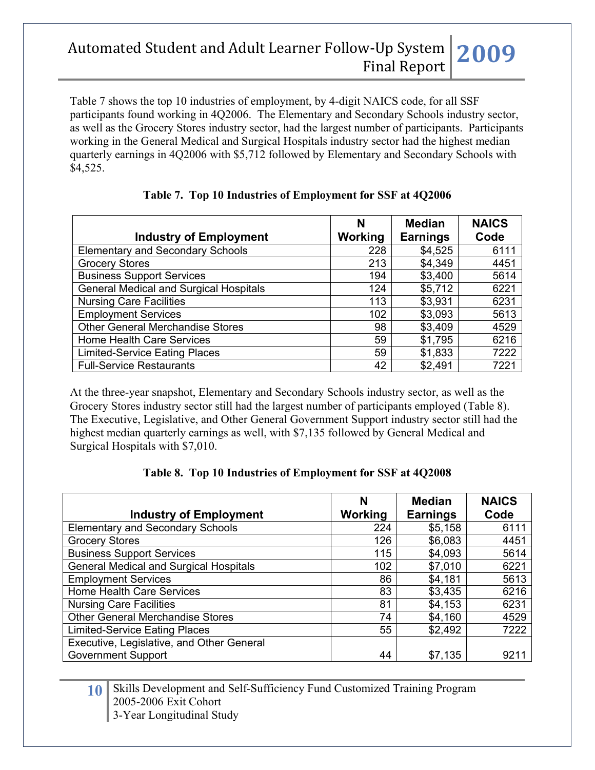Table 7 shows the top 10 industries of employment, by 4-digit NAICS code, for all SSF participants found working in 4Q2006. The Elementary and Secondary Schools industry sector, as well as the Grocery Stores industry sector, had the largest number of participants. Participants working in the General Medical and Surgical Hospitals industry sector had the highest median quarterly earnings in 4Q2006 with \$5,712 followed by Elementary and Secondary Schools with \$4,525.

| <b>Industry of Employment</b>                 | N<br>Working | <b>Median</b><br><b>Earnings</b> | <b>NAICS</b><br>Code |
|-----------------------------------------------|--------------|----------------------------------|----------------------|
| <b>Elementary and Secondary Schools</b>       | 228          | \$4,525                          | 6111                 |
| <b>Grocery Stores</b>                         | 213          | \$4,349                          | 4451                 |
| <b>Business Support Services</b>              | 194          | \$3,400                          | 5614                 |
| <b>General Medical and Surgical Hospitals</b> | 124          | \$5,712                          | 6221                 |
| <b>Nursing Care Facilities</b>                | 113          | \$3,931                          | 6231                 |
| <b>Employment Services</b>                    | 102          | \$3,093                          | 5613                 |
| <b>Other General Merchandise Stores</b>       | 98           | \$3,409                          | 4529                 |
| Home Health Care Services                     | 59           | \$1,795                          | 6216                 |
| <b>Limited-Service Eating Places</b>          | 59           | \$1,833                          | 7222                 |
| <b>Full-Service Restaurants</b>               | 42           | \$2,491                          | 7221                 |

## **Table 7. Top 10 Industries of Employment for SSF at 4Q2006**

At the three-year snapshot, Elementary and Secondary Schools industry sector, as well as the Grocery Stores industry sector still had the largest number of participants employed (Table 8). The Executive, Legislative, and Other General Government Support industry sector still had the highest median quarterly earnings as well, with \$7,135 followed by General Medical and Surgical Hospitals with \$7,010.

#### **Table 8. Top 10 Industries of Employment for SSF at 4Q2008**

| <b>Industry of Employment</b>                 | N<br>Working | <b>Median</b><br><b>Earnings</b> | <b>NAICS</b><br>Code |
|-----------------------------------------------|--------------|----------------------------------|----------------------|
| <b>Elementary and Secondary Schools</b>       | 224          | \$5,158                          | 6111                 |
| <b>Grocery Stores</b>                         | 126          | \$6,083                          | 4451                 |
| <b>Business Support Services</b>              | 115          | \$4,093                          | 5614                 |
| <b>General Medical and Surgical Hospitals</b> | 102          | \$7,010                          | 6221                 |
| <b>Employment Services</b>                    | 86           | \$4,181                          | 5613                 |
| <b>Home Health Care Services</b>              | 83           | \$3,435                          | 6216                 |
| <b>Nursing Care Facilities</b>                | 81           | \$4,153                          | 6231                 |
| <b>Other General Merchandise Stores</b>       | 74           | \$4,160                          | 4529                 |
| <b>Limited-Service Eating Places</b>          | 55           | \$2,492                          | 7222                 |
| Executive, Legislative, and Other General     |              |                                  |                      |
| <b>Government Support</b>                     | 44           | \$7,135                          | 921'                 |

**10** Skills Development and Self-Sufficiency Fund Customized Training Program 2005-2006 Exit Cohort 3-Year Longitudinal Study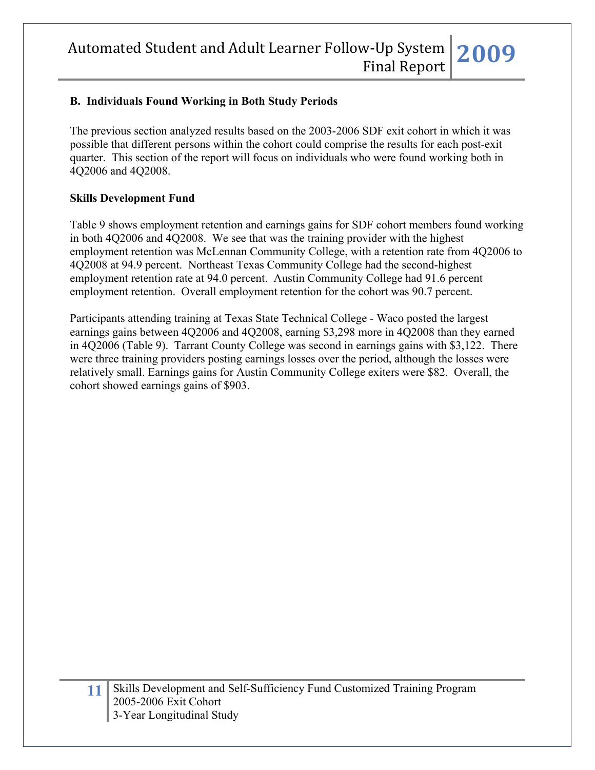## **B. Individuals Found Working in Both Study Periods**

The previous section analyzed results based on the 2003-2006 SDF exit cohort in which it was possible that different persons within the cohort could comprise the results for each post-exit quarter. This section of the report will focus on individuals who were found working both in 4Q2006 and 4Q2008.

### **Skills Development Fund**

Table 9 shows employment retention and earnings gains for SDF cohort members found working in both 4Q2006 and 4Q2008. We see that was the training provider with the highest employment retention was McLennan Community College, with a retention rate from 4Q2006 to 4Q2008 at 94.9 percent. Northeast Texas Community College had the second-highest employment retention rate at 94.0 percent. Austin Community College had 91.6 percent employment retention. Overall employment retention for the cohort was 90.7 percent.

Participants attending training at Texas State Technical College - Waco posted the largest earnings gains between 4Q2006 and 4Q2008, earning \$3,298 more in 4Q2008 than they earned in 4Q2006 (Table 9). Tarrant County College was second in earnings gains with \$3,122. There were three training providers posting earnings losses over the period, although the losses were relatively small. Earnings gains for Austin Community College exiters were \$82. Overall, the cohort showed earnings gains of \$903.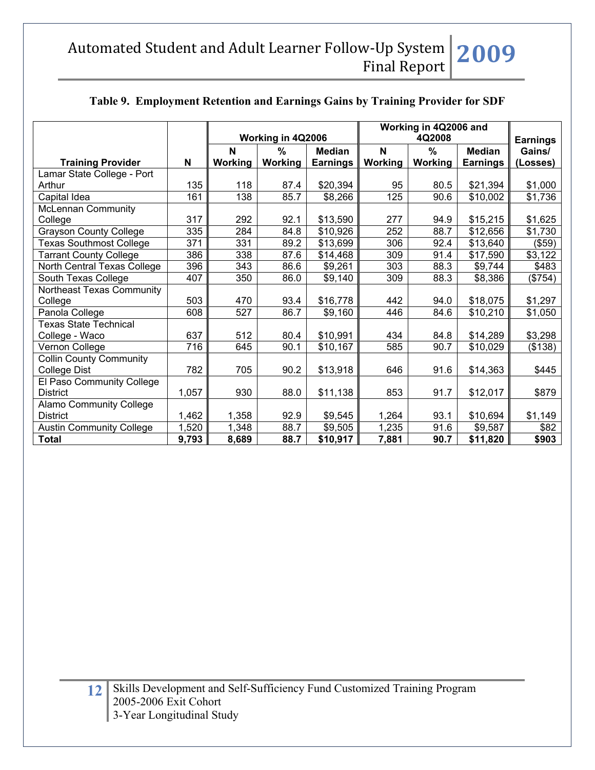|                                 |       | Working in 4Q2006 |         |                 | Working in 4Q2006 and<br>4Q2008 |                |                 | <b>Earnings</b> |
|---------------------------------|-------|-------------------|---------|-----------------|---------------------------------|----------------|-----------------|-----------------|
|                                 |       | N                 | $\%$    | <b>Median</b>   | N                               | $\frac{0}{0}$  | <b>Median</b>   | Gains/          |
| <b>Training Provider</b>        | N     | Working           | Working | <b>Earnings</b> | Working                         | <b>Working</b> | <b>Earnings</b> | (Losses)        |
| Lamar State College - Port      |       |                   |         |                 |                                 |                |                 |                 |
| Arthur                          | 135   | 118               | 87.4    | \$20,394        | 95                              | 80.5           | \$21,394        | \$1,000         |
| Capital Idea                    | 161   | 138               | 85.7    | \$8,266         | 125                             | 90.6           | \$10,002        | \$1,736         |
| McLennan Community              |       |                   |         |                 |                                 |                |                 |                 |
| College                         | 317   | 292               | 92.1    | \$13,590        | 277                             | 94.9           | \$15,215        | \$1,625         |
| <b>Grayson County College</b>   | 335   | 284               | 84.8    | \$10,926        | 252                             | 88.7           | \$12,656        | \$1,730         |
| <b>Texas Southmost College</b>  | 371   | 331               | 89.2    | \$13,699        | 306                             | 92.4           | \$13,640        | (\$59)          |
| <b>Tarrant County College</b>   | 386   | 338               | 87.6    | \$14,468        | 309                             | 91.4           | \$17,590        | \$3,122         |
| North Central Texas College     | 396   | 343               | 86.6    | \$9,261         | 303                             | 88.3           | \$9,744         | \$483           |
| South Texas College             | 407   | 350               | 86.0    | \$9,140         | 309                             | 88.3           | \$8,386         | (\$754)         |
| Northeast Texas Community       |       |                   |         |                 |                                 |                |                 |                 |
| College                         | 503   | 470               | 93.4    | \$16,778        | 442                             | 94.0           | \$18,075        | \$1,297         |
| Panola College                  | 608   | 527               | 86.7    | \$9,160         | 446                             | 84.6           | \$10,210        | \$1,050         |
| <b>Texas State Technical</b>    |       |                   |         |                 |                                 |                |                 |                 |
| College - Waco                  | 637   | 512               | 80.4    | \$10,991        | 434                             | 84.8           | \$14,289        | \$3,298         |
| Vernon College                  | 716   | 645               | 90.1    | \$10,167        | 585                             | 90.7           | \$10,029        | (\$138)         |
| <b>Collin County Community</b>  |       |                   |         |                 |                                 |                |                 |                 |
| College Dist                    | 782   | 705               | 90.2    | \$13,918        | 646                             | 91.6           | \$14,363        | \$445           |
| El Paso Community College       |       |                   |         |                 |                                 |                |                 |                 |
| <b>District</b>                 | 1,057 | 930               | 88.0    | \$11,138        | 853                             | 91.7           | \$12,017        | \$879           |
| <b>Alamo Community College</b>  |       |                   |         |                 |                                 |                |                 |                 |
| <b>District</b>                 | 1,462 | 1,358             | 92.9    | \$9,545         | 1,264                           | 93.1           | \$10,694        | \$1,149         |
| <b>Austin Community College</b> | 1,520 | 1,348             | 88.7    | \$9,505         | 1,235                           | 91.6           | \$9,587         | \$82            |
| <b>Total</b>                    | 9,793 | 8,689             | 88.7    | \$10,917        | 7,881                           | 90.7           | \$11,820        | \$903           |

# **Table 9. Employment Retention and Earnings Gains by Training Provider for SDF**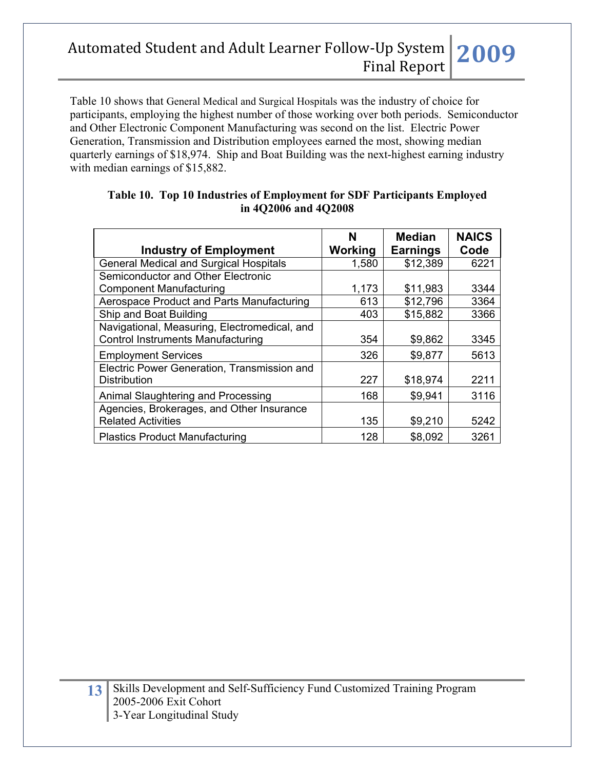Table 10 shows that General Medical and Surgical Hospitals was the industry of choice for participants, employing the highest number of those working over both periods. Semiconductor and Other Electronic Component Manufacturing was second on the list. Electric Power Generation, Transmission and Distribution employees earned the most, showing median quarterly earnings of \$18,974. Ship and Boat Building was the next-highest earning industry with median earnings of \$15,882.

| <b>Industry of Employment</b>                                                            | N<br>Working | <b>Median</b><br><b>Earnings</b> | <b>NAICS</b><br>Code |
|------------------------------------------------------------------------------------------|--------------|----------------------------------|----------------------|
| <b>General Medical and Surgical Hospitals</b>                                            | 1,580        | \$12,389                         | 6221                 |
| Semiconductor and Other Electronic                                                       |              |                                  |                      |
| <b>Component Manufacturing</b>                                                           | 1,173        | \$11,983                         | 3344                 |
| Aerospace Product and Parts Manufacturing                                                | 613          | \$12,796                         | 3364                 |
| Ship and Boat Building                                                                   | 403          | \$15,882                         | 3366                 |
| Navigational, Measuring, Electromedical, and<br><b>Control Instruments Manufacturing</b> | 354          | \$9,862                          | 3345                 |
| <b>Employment Services</b>                                                               | 326          | \$9,877                          | 5613                 |
| Electric Power Generation, Transmission and<br><b>Distribution</b>                       | 227          | \$18,974                         | 2211                 |
| Animal Slaughtering and Processing                                                       | 168          | \$9,941                          | 3116                 |
| Agencies, Brokerages, and Other Insurance<br><b>Related Activities</b>                   | 135          | \$9,210                          | 5242                 |
| <b>Plastics Product Manufacturing</b>                                                    | 128          | \$8,092                          | 3261                 |

### **Table 10. Top 10 Industries of Employment for SDF Participants Employed in 4Q2006 and 4Q2008**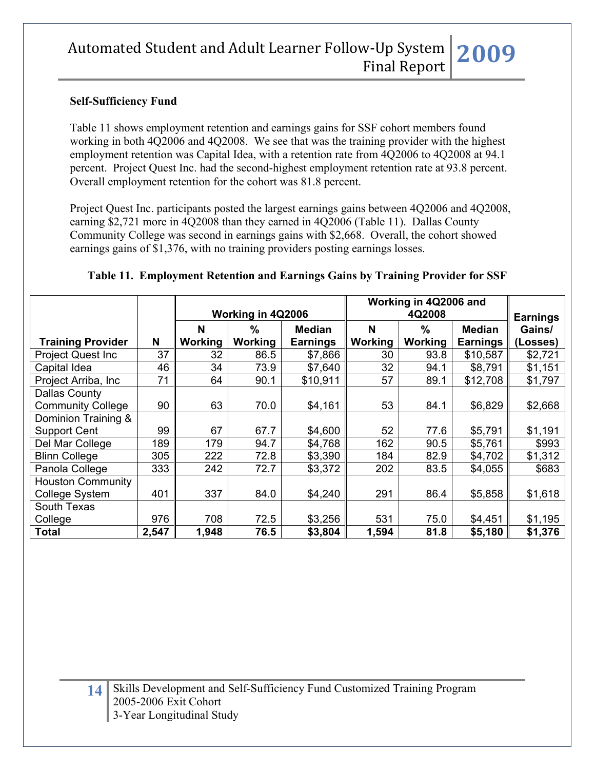### **Self-Sufficiency Fund**

Table 11 shows employment retention and earnings gains for SSF cohort members found working in both 4Q2006 and 4Q2008. We see that was the training provider with the highest employment retention was Capital Idea, with a retention rate from 4Q2006 to 4Q2008 at 94.1 percent. Project Quest Inc. had the second-highest employment retention rate at 93.8 percent. Overall employment retention for the cohort was 81.8 percent.

Project Quest Inc. participants posted the largest earnings gains between 4Q2006 and 4Q2008, earning \$2,721 more in 4Q2008 than they earned in 4Q2006 (Table 11). Dallas County Community College was second in earnings gains with \$2,668. Overall, the cohort showed earnings gains of \$1,376, with no training providers posting earnings losses.

|                           |       | Working in 4Q2006          |         |                            | Working in 4Q2006 and<br>4Q2008 |         |                 | <b>Earnings</b> |
|---------------------------|-------|----------------------------|---------|----------------------------|---------------------------------|---------|-----------------|-----------------|
|                           |       | N<br>$\%$<br><b>Median</b> |         | N<br>$\%$<br><b>Median</b> |                                 | Gains/  |                 |                 |
| <b>Training Provider</b>  | N     | Working                    | Working | <b>Earnings</b>            | Working                         | Working | <b>Earnings</b> | (Losses)        |
| <b>Project Quest Inc.</b> | 37    | 32                         | 86.5    | \$7,866                    | 30                              | 93.8    | \$10,587        | \$2,721         |
| Capital Idea              | 46    | 34                         | 73.9    | \$7,640                    | 32                              | 94.1    | \$8,791         | \$1,151         |
| Project Arriba, Inc       | 71    | 64                         | 90.1    | \$10,911                   | 57                              | 89.1    | \$12,708        | \$1,797         |
| <b>Dallas County</b>      |       |                            |         |                            |                                 |         |                 |                 |
| <b>Community College</b>  | 90    | 63                         | 70.0    | \$4,161                    | 53                              | 84.1    | \$6,829         | \$2,668         |
| Dominion Training &       |       |                            |         |                            |                                 |         |                 |                 |
| <b>Support Cent</b>       | 99    | 67                         | 67.7    | \$4,600                    | 52                              | 77.6    | \$5,791         | \$1,191         |
| Del Mar College           | 189   | 179                        | 94.7    | \$4,768                    | 162                             | 90.5    | \$5,761         | \$993           |
| <b>Blinn College</b>      | 305   | 222                        | 72.8    | \$3,390                    | 184                             | 82.9    | \$4,702         | \$1,312         |
| Panola College            | 333   | 242                        | 72.7    | \$3,372                    | 202                             | 83.5    | \$4,055         | \$683           |
| <b>Houston Community</b>  |       |                            |         |                            |                                 |         |                 |                 |
| College System            | 401   | 337                        | 84.0    | \$4,240                    | 291                             | 86.4    | \$5,858         | \$1,618         |
| South Texas               |       |                            |         |                            |                                 |         |                 |                 |
| College                   | 976   | 708                        | 72.5    | \$3,256                    | 531                             | 75.0    | \$4,451         | \$1,195         |
| <b>Total</b>              | 2,547 | 1,948                      | 76.5    | \$3,804                    | 1,594                           | 81.8    | \$5,180         | \$1,376         |

**Table 11. Employment Retention and Earnings Gains by Training Provider for SSF**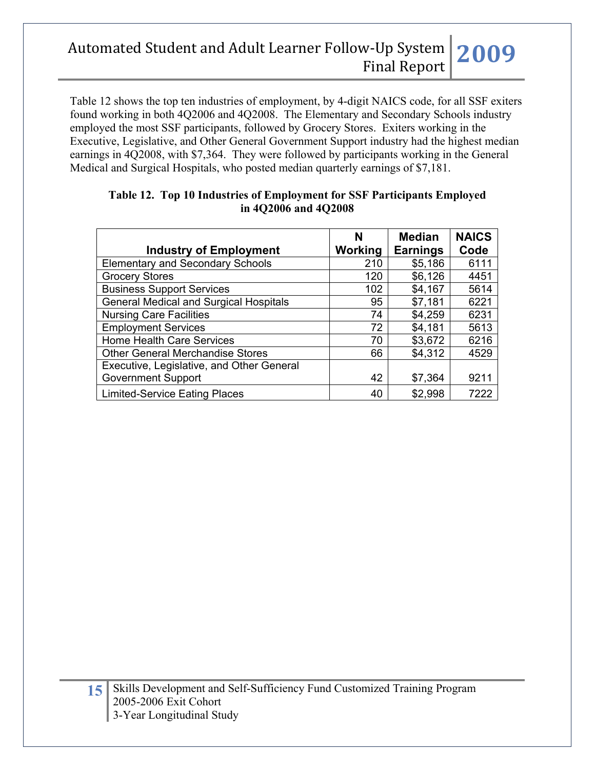Table 12 shows the top ten industries of employment, by 4-digit NAICS code, for all SSF exiters found working in both 4Q2006 and 4Q2008. The Elementary and Secondary Schools industry employed the most SSF participants, followed by Grocery Stores. Exiters working in the Executive, Legislative, and Other General Government Support industry had the highest median earnings in 4Q2008, with \$7,364. They were followed by participants working in the General Medical and Surgical Hospitals, who posted median quarterly earnings of \$7,181.

|                                               | N       | <b>Median</b>   | <b>NAICS</b> |
|-----------------------------------------------|---------|-----------------|--------------|
| <b>Industry of Employment</b>                 | Working | <b>Earnings</b> | Code         |
| <b>Elementary and Secondary Schools</b>       | 210     | \$5,186         | 6111         |
| <b>Grocery Stores</b>                         | 120     | \$6,126         | 4451         |
| <b>Business Support Services</b>              | 102     | \$4,167         | 5614         |
| <b>General Medical and Surgical Hospitals</b> | 95      | \$7,181         | 6221         |
| <b>Nursing Care Facilities</b>                | 74      | \$4,259         | 6231         |
| <b>Employment Services</b>                    | 72      | \$4,181         | 5613         |
| Home Health Care Services                     | 70      | \$3,672         | 6216         |
| <b>Other General Merchandise Stores</b>       | 66      | \$4,312         | 4529         |
| Executive, Legislative, and Other General     |         |                 |              |
| <b>Government Support</b>                     | 42      | \$7,364         | 9211         |
| <b>Limited-Service Eating Places</b>          | 40      | \$2,998         | 7222         |

### **Table 12. Top 10 Industries of Employment for SSF Participants Employed in 4Q2006 and 4Q2008**